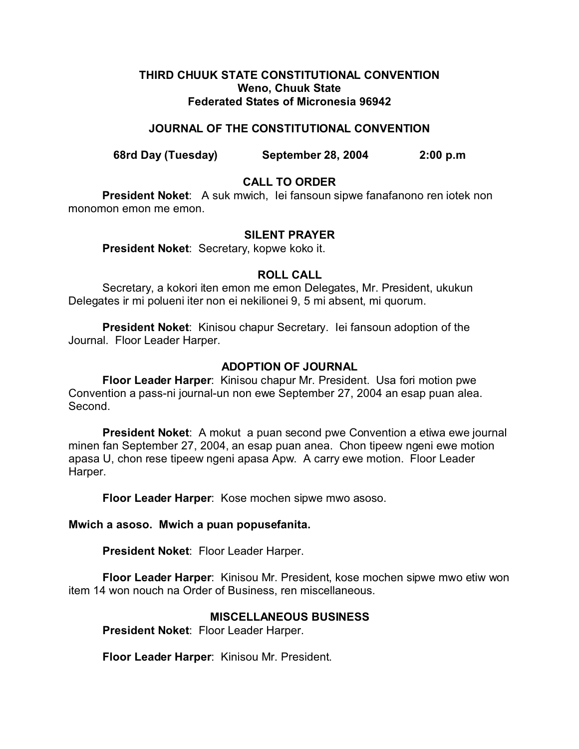### **THIRD CHUUK STATE CONSTITUTIONAL CONVENTION Weno, Chuuk State Federated States of Micronesia 96942**

### **JOURNAL OF THE CONSTITUTIONAL CONVENTION**

**68rd Day (Tuesday) September 28, 2004 2:00 p.m**

## **CALL TO ORDER**

**President Noket**: A suk mwich, Iei fansoun sipwe fanafanono ren iotek non monomon emon me emon.

### **SILENT PRAYER**

**President Noket**: Secretary, kopwe koko it.

## **ROLL CALL**

Secretary, a kokori iten emon me emon Delegates, Mr. President, ukukun Delegates ir mi polueni iter non ei nekilionei 9, 5 mi absent, mi quorum.

**President Noket**: Kinisou chapur Secretary. Iei fansoun adoption of the Journal. Floor Leader Harper.

## **ADOPTION OF JOURNAL**

**Floor Leader Harper**: Kinisou chapur Mr. President. Usa fori motion pwe Convention a pass-ni journal-un non ewe September 27, 2004 an esap puan alea. Second.

**President Noket**: A mokut a puan second pwe Convention a etiwa ewe journal minen fan September 27, 2004, an esap puan anea. Chon tipeew ngeni ewe motion apasa U, chon rese tipeew ngeni apasa Apw. A carry ewe motion. Floor Leader Harper.

**Floor Leader Harper**: Kose mochen sipwe mwo asoso.

#### **Mwich a asoso. Mwich a puan popusefanita.**

**President Noket**: Floor Leader Harper.

**Floor Leader Harper**: Kinisou Mr. President, kose mochen sipwe mwo etiw won item 14 won nouch na Order of Business, ren miscellaneous.

## **MISCELLANEOUS BUSINESS**

**President Noket**: Floor Leader Harper.

**Floor Leader Harper**: Kinisou Mr. President.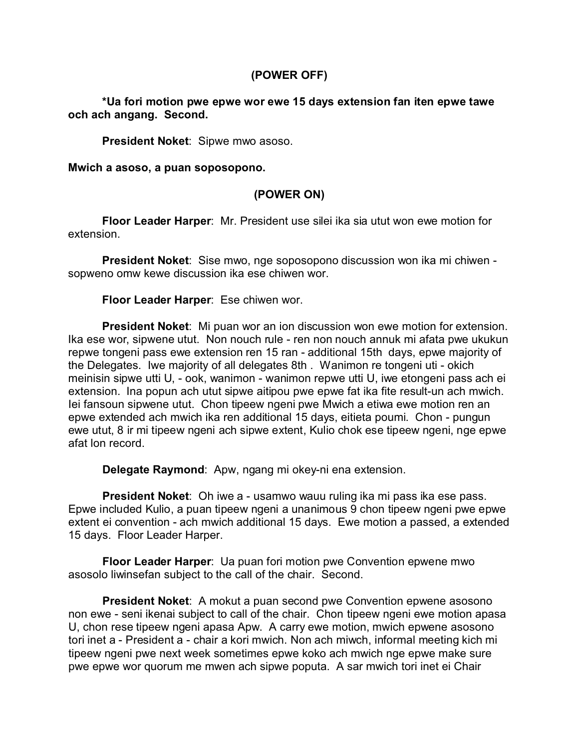## **(POWER OFF)**

## **\*Ua fori motion pwe epwe wor ewe 15 days extension fan iten epwe tawe och ach angang. Second.**

**President Noket**: Sipwe mwo asoso.

**Mwich a asoso, a puan soposopono.**

# **(POWER ON)**

**Floor Leader Harper**: Mr. President use silei ika sia utut won ewe motion for extension.

**President Noket**: Sise mwo, nge soposopono discussion won ika mi chiwen sopweno omw kewe discussion ika ese chiwen wor.

### **Floor Leader Harper**: Ese chiwen wor.

**President Noket**: Mi puan wor an ion discussion won ewe motion for extension. Ika ese wor, sipwene utut. Non nouch rule - ren non nouch annuk mi afata pwe ukukun repwe tongeni pass ewe extension ren 15 ran - additional 15th days, epwe majority of the Delegates. Iwe majority of all delegates 8th . Wanimon re tongeni uti - okich meinisin sipwe utti U, - ook, wanimon - wanimon repwe utti U, iwe etongeni pass ach ei extension. Ina popun ach utut sipwe aitipou pwe epwe fat ika fite result-un ach mwich. Iei fansoun sipwene utut. Chon tipeew ngeni pwe Mwich a etiwa ewe motion ren an epwe extended ach mwich ika ren additional 15 days, eitieta poumi. Chon - pungun ewe utut, 8 ir mi tipeew ngeni ach sipwe extent, Kulio chok ese tipeew ngeni, nge epwe afat lon record.

**Delegate Raymond**: Apw, ngang mi okey-ni ena extension.

**President Noket**: Oh iwe a - usamwo wauu ruling ika mi pass ika ese pass. Epwe included Kulio, a puan tipeew ngeni a unanimous 9 chon tipeew ngeni pwe epwe extent ei convention - ach mwich additional 15 days. Ewe motion a passed, a extended 15 days. Floor Leader Harper.

**Floor Leader Harper**: Ua puan fori motion pwe Convention epwene mwo asosolo liwinsefan subject to the call of the chair. Second.

**President Noket**: A mokut a puan second pwe Convention epwene asosono non ewe - seni ikenai subject to call of the chair. Chon tipeew ngeni ewe motion apasa U, chon rese tipeew ngeni apasa Apw. A carry ewe motion, mwich epwene asosono tori inet a - President a - chair a kori mwich. Non ach miwch, informal meeting kich mi tipeew ngeni pwe next week sometimes epwe koko ach mwich nge epwe make sure pwe epwe wor quorum me mwen ach sipwe poputa. A sar mwich tori inet ei Chair